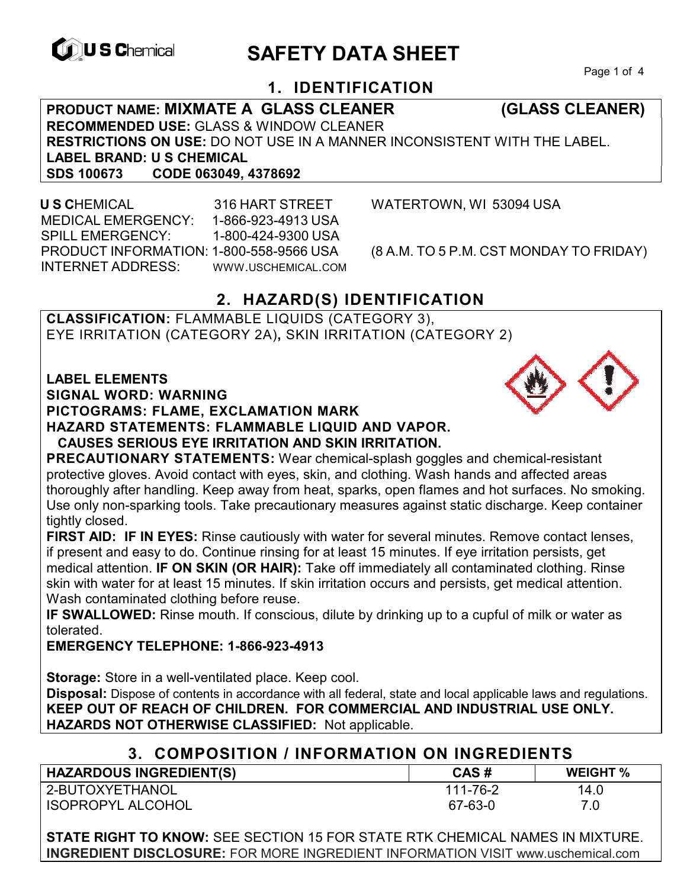

# **EXAGREM** SAFETY DATA SHEET

Page 1 of 4

## **1. IDENTIFICATION**

**PRODUCT NAME: MIXMATE A GLASS CLEANER (GLASS CLEANER) RECOMMENDED USE:** GLASS & WINDOW CLEANER **RESTRICTIONS ON USE:** DO NOT USE IN A MANNER INCONSISTENT WITH THE LABEL. **LABEL BRAND: U S CHEMICAL SDS 100673 CODE 063049, 4378692** 

 **U S C**HEMICAL 316 HART STREET WATERTOWN, WI 53094 USA MEDICAL EMERGENCY: 1-866-923-4913 USA SPILL EMERGENCY: 1-800-424-9300 USA PRODUCT INFORMATION: 1-800-558-9566 USA (8 A.M. TO 5 P.M. CST MONDAY TO FRIDAY) INTERNET ADDRESS: WWW.USCHEMICAL.COM

## **2. HAZARD(S) IDENTIFICATION**

**CLASSIFICATION:** FLAMMABLE LIQUIDS (CATEGORY 3), EYE IRRITATION (CATEGORY 2A)**,** SKIN IRRITATION (CATEGORY 2)

**LABEL ELEMENTS** 

**SIGNAL WORD: WARNING**

**PICTOGRAMS: FLAME, EXCLAMATION MARK**

**HAZARD STATEMENTS: FLAMMABLE LIQUID AND VAPOR.** 

#### **CAUSES SERIOUS EYE IRRITATION AND SKIN IRRITATION.**

**PRECAUTIONARY STATEMENTS:** Wear chemical-splash goggles and chemical-resistant protective gloves. Avoid contact with eyes, skin, and clothing. Wash hands and affected areas thoroughly after handling. Keep away from heat, sparks, open flames and hot surfaces. No smoking. Use only non-sparking tools. Take precautionary measures against static discharge. Keep container tightly closed.

**FIRST AID: IF IN EYES:** Rinse cautiously with water for several minutes. Remove contact lenses, if present and easy to do. Continue rinsing for at least 15 minutes. If eye irritation persists, get medical attention. **IF ON SKIN (OR HAIR):** Take off immediately all contaminated clothing. Rinse skin with water for at least 15 minutes. If skin irritation occurs and persists, get medical attention. Wash contaminated clothing before reuse.

**IF SWALLOWED:** Rinse mouth. If conscious, dilute by drinking up to a cupful of milk or water as tolerated.

**EMERGENCY TELEPHONE: 1-866-923-4913**

**Storage:** Store in a well-ventilated place. Keep cool.

**Disposal:** Dispose of contents in accordance with all federal, state and local applicable laws and regulations. **KEEP OUT OF REACH OF CHILDREN. FOR COMMERCIAL AND INDUSTRIAL USE ONLY. HAZARDS NOT OTHERWISE CLASSIFIED:** Not applicable.

| 3. COMPOSITION / INFORMATION ON INGREDIENTS |
|---------------------------------------------|
|---------------------------------------------|

| <b>HAZARDOUS INGREDIENT(S)</b> | CAS#     | <b>WEIGHT %</b> |
|--------------------------------|----------|-----------------|
| 2-BUTOXYETHANOL                | 111-76-2 | 14.0            |
| <b>ISOPROPYL ALCOHOL</b>       | 67-63-0  | 7.0             |

**STATE RIGHT TO KNOW:** SEE SECTION 15 FOR STATE RTK CHEMICAL NAMES IN MIXTURE. **INGREDIENT DISCLOSURE:** FOR MORE INGREDIENT INFORMATION VISIT www.uschemical.com

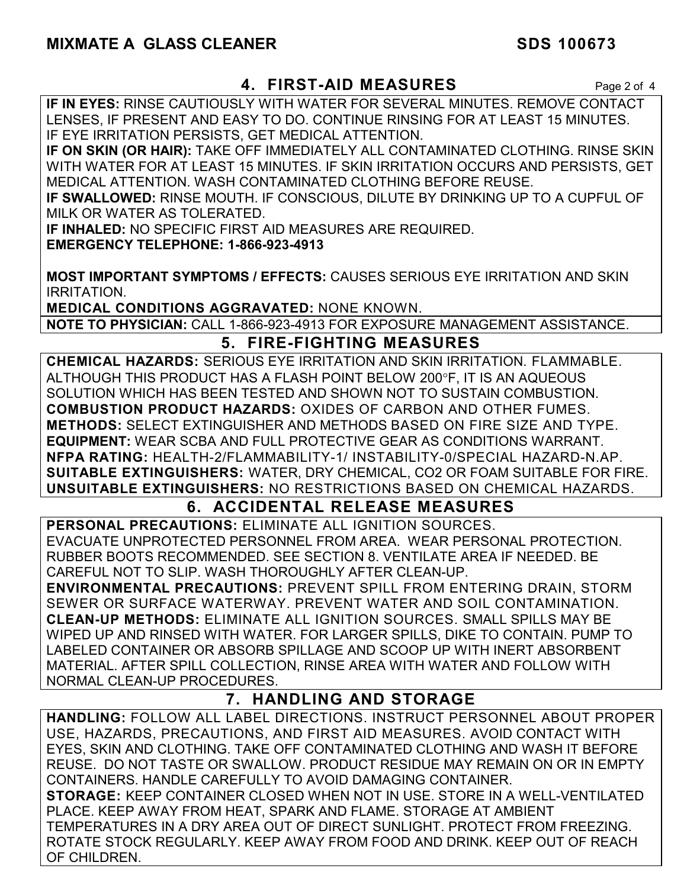## **MIXMATE A GLASS CLEANER** SDS 100673

#### **4. FIRST-AID MEASURES** Page 2 of 4

**IF IN EYES:** RINSE CAUTIOUSLY WITH WATER FOR SEVERAL MINUTES. REMOVE CONTACT LENSES, IF PRESENT AND EASY TO DO. CONTINUE RINSING FOR AT LEAST 15 MINUTES. IF EYE IRRITATION PERSISTS, GET MEDICAL ATTENTION.

**IF ON SKIN (OR HAIR):** TAKE OFF IMMEDIATELY ALL CONTAMINATED CLOTHING. RINSE SKIN WITH WATER FOR AT LEAST 15 MINUTES. IF SKIN IRRITATION OCCURS AND PERSISTS, GET MEDICAL ATTENTION. WASH CONTAMINATED CLOTHING BEFORE REUSE.

**IF SWALLOWED:** RINSE MOUTH. IF CONSCIOUS, DILUTE BY DRINKING UP TO A CUPFUL OF MILK OR WATER AS TOLERATED.

**IF INHALED:** NO SPECIFIC FIRST AID MEASURES ARE REQUIRED.

**EMERGENCY TELEPHONE: 1-866-923-4913** 

**MOST IMPORTANT SYMPTOMS / EFFECTS:** CAUSES SERIOUS EYE IRRITATION AND SKIN IRRITATION.

**MEDICAL CONDITIONS AGGRAVATED:** NONE KNOWN.

**NOTE TO PHYSICIAN:** CALL 1-866-923-4913 FOR EXPOSURE MANAGEMENT ASSISTANCE.

### **5. FIRE-FIGHTING MEASURES**

**CHEMICAL HAZARDS:** SERIOUS EYE IRRITATION AND SKIN IRRITATION. FLAMMABLE. ALTHOUGH THIS PRODUCT HAS A FLASH POINT BELOW 200F, IT IS AN AQUEOUS SOLUTION WHICH HAS BEEN TESTED AND SHOWN NOT TO SUSTAIN COMBUSTION. **COMBUSTION PRODUCT HAZARDS:** OXIDES OF CARBON AND OTHER FUMES. **METHODS:** SELECT EXTINGUISHER AND METHODS BASED ON FIRE SIZE AND TYPE. **EQUIPMENT:** WEAR SCBA AND FULL PROTECTIVE GEAR AS CONDITIONS WARRANT. **NFPA RATING:** HEALTH-2/FLAMMABILITY-1/ INSTABILITY-0/SPECIAL HAZARD-N.AP. **SUITABLE EXTINGUISHERS:** WATER, DRY CHEMICAL, CO2 OR FOAM SUITABLE FOR FIRE. **UNSUITABLE EXTINGUISHERS:** NO RESTRICTIONS BASED ON CHEMICAL HAZARDS.

## **6. ACCIDENTAL RELEASE MEASURES**

**PERSONAL PRECAUTIONS:** ELIMINATE ALL IGNITION SOURCES. EVACUATE UNPROTECTED PERSONNEL FROM AREA. WEAR PERSONAL PROTECTION. RUBBER BOOTS RECOMMENDED. SEE SECTION 8. VENTILATE AREA IF NEEDED. BE CAREFUL NOT TO SLIP. WASH THOROUGHLY AFTER CLEAN-UP.

**ENVIRONMENTAL PRECAUTIONS:** PREVENT SPILL FROM ENTERING DRAIN, STORM SEWER OR SURFACE WATERWAY. PREVENT WATER AND SOIL CONTAMINATION. **CLEAN-UP METHODS:** ELIMINATE ALL IGNITION SOURCES. SMALL SPILLS MAY BE WIPED UP AND RINSED WITH WATER. FOR LARGER SPILLS, DIKE TO CONTAIN. PUMP TO LABELED CONTAINER OR ABSORB SPILLAGE AND SCOOP UP WITH INERT ABSORBENT MATERIAL. AFTER SPILL COLLECTION, RINSE AREA WITH WATER AND FOLLOW WITH NORMAL CLEAN-UP PROCEDURES.

## **7. HANDLING AND STORAGE**

**HANDLING:** FOLLOW ALL LABEL DIRECTIONS. INSTRUCT PERSONNEL ABOUT PROPER USE, HAZARDS, PRECAUTIONS, AND FIRST AID MEASURES. AVOID CONTACT WITH EYES, SKIN AND CLOTHING. TAKE OFF CONTAMINATED CLOTHING AND WASH IT BEFORE REUSE. DO NOT TASTE OR SWALLOW. PRODUCT RESIDUE MAY REMAIN ON OR IN EMPTY CONTAINERS. HANDLE CAREFULLY TO AVOID DAMAGING CONTAINER. **STORAGE:** KEEP CONTAINER CLOSED WHEN NOT IN USE. STORE IN A WELL-VENTILATED PLACE. KEEP AWAY FROM HEAT, SPARK AND FLAME. STORAGE AT AMBIENT TEMPERATURES IN A DRY AREA OUT OF DIRECT SUNLIGHT. PROTECT FROM FREEZING. ROTATE STOCK REGULARLY. KEEP AWAY FROM FOOD AND DRINK. KEEP OUT OF REACH OF CHILDREN.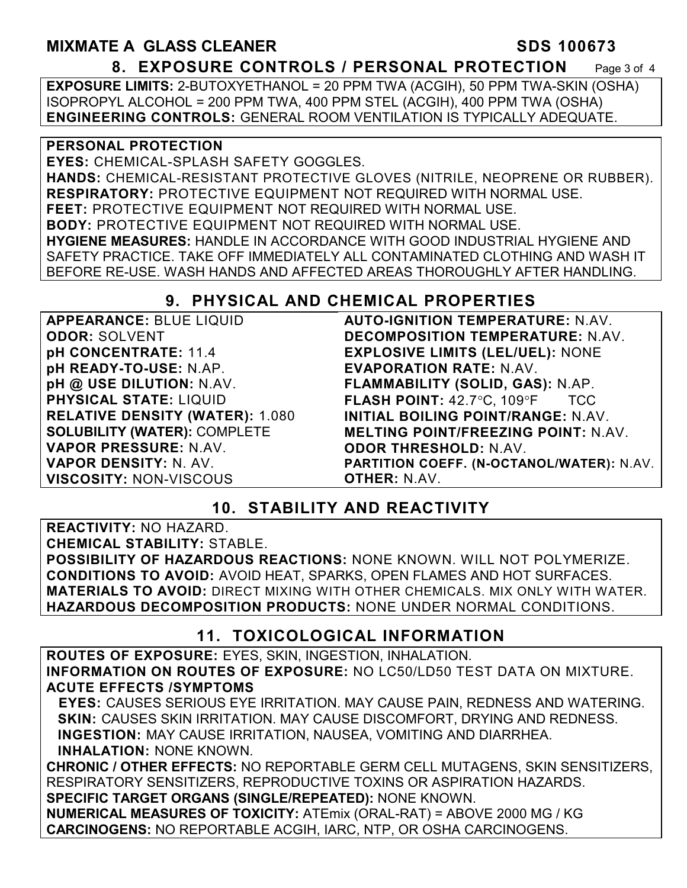## **MIXMATE A GLASS CLEANER SDS 100673 8. EXPOSURE CONTROLS / PERSONAL PROTECTION** Page 3 of 4

**EXPOSURE LIMITS:** 2-BUTOXYETHANOL = 20 PPM TWA (ACGIH), 50 PPM TWA-SKIN (OSHA) ISOPROPYL ALCOHOL = 200 PPM TWA, 400 PPM STEL (ACGIH), 400 PPM TWA (OSHA) **ENGINEERING CONTROLS:** GENERAL ROOM VENTILATION IS TYPICALLY ADEQUATE.

#### **PERSONAL PROTECTION**

**EYES:** CHEMICAL-SPLASH SAFETY GOGGLES. **HANDS:** CHEMICAL-RESISTANT PROTECTIVE GLOVES (NITRILE, NEOPRENE OR RUBBER). **RESPIRATORY:** PROTECTIVE EQUIPMENT NOT REQUIRED WITH NORMAL USE. **FEET:** PROTECTIVE EQUIPMENT NOT REQUIRED WITH NORMAL USE. **BODY:** PROTECTIVE EQUIPMENT NOT REQUIRED WITH NORMAL USE. **HYGIENE MEASURES:** HANDLE IN ACCORDANCE WITH GOOD INDUSTRIAL HYGIENE AND SAFETY PRACTICE. TAKE OFF IMMEDIATELY ALL CONTAMINATED CLOTHING AND WASH IT BEFORE RE-USE. WASH HANDS AND AFFECTED AREAS THOROUGHLY AFTER HANDLING.

## **9. PHYSICAL AND CHEMICAL PROPERTIES**

**APPEARANCE:** BLUE LIQUID **ODOR:** SOLVENT **pH CONCENTRATE:** 11.4 **pH READY-TO-USE:** N.AP. **pH @ USE DILUTION:** N.AV. **PHYSICAL STATE:** LIQUID **RELATIVE DENSITY (WATER):** 1.080 **SOLUBILITY (WATER):** COMPLETE **VAPOR PRESSURE:** N.AV. **VAPOR DENSITY:** N. AV. **VISCOSITY:** NON-VISCOUS

**AUTO-IGNITION TEMPERATURE:** N.AV. **DECOMPOSITION TEMPERATURE:** N.AV. **EXPLOSIVE LIMITS (LEL/UEL):** NONE **EVAPORATION RATE:** N.AV. **FLAMMABILITY (SOLID, GAS):** N.AP. **FLASH POINT: 42.7°C, 109°F TCC INITIAL BOILING POINT/RANGE:** N.AV. **MELTING POINT/FREEZING POINT:** N.AV. **ODOR THRESHOLD:** N.AV. **PARTITION COEFF. (N-OCTANOL/WATER):** N.AV. **OTHER:** N.AV.

## **10. STABILITY AND REACTIVITY**

**REACTIVITY:** NO HAZARD.

**CHEMICAL STABILITY:** STABLE.

**POSSIBILITY OF HAZARDOUS REACTIONS:** NONE KNOWN. WILL NOT POLYMERIZE. **CONDITIONS TO AVOID:** AVOID HEAT, SPARKS, OPEN FLAMES AND HOT SURFACES. **MATERIALS TO AVOID:** DIRECT MIXING WITH OTHER CHEMICALS. MIX ONLY WITH WATER. **HAZARDOUS DECOMPOSITION PRODUCTS:** NONE UNDER NORMAL CONDITIONS.

## **11. TOXICOLOGICAL INFORMATION**

**ROUTES OF EXPOSURE:** EYES, SKIN, INGESTION, INHALATION. **INFORMATION ON ROUTES OF EXPOSURE:** NO LC50/LD50 TEST DATA ON MIXTURE. **ACUTE EFFECTS /SYMPTOMS** 

 **EYES:** CAUSES SERIOUS EYE IRRITATION. MAY CAUSE PAIN, REDNESS AND WATERING. **SKIN:** CAUSES SKIN IRRITATION. MAY CAUSE DISCOMFORT, DRYING AND REDNESS. **INGESTION:** MAY CAUSE IRRITATION, NAUSEA, VOMITING AND DIARRHEA. **INHALATION:** NONE KNOWN.

**CHRONIC / OTHER EFFECTS:** NO REPORTABLE GERM CELL MUTAGENS, SKIN SENSITIZERS, RESPIRATORY SENSITIZERS, REPRODUCTIVE TOXINS OR ASPIRATION HAZARDS. **SPECIFIC TARGET ORGANS (SINGLE/REPEATED):** NONE KNOWN.

**NUMERICAL MEASURES OF TOXICITY:** ATEmix (ORAL-RAT) = ABOVE 2000 MG / KG **CARCINOGENS:** NO REPORTABLE ACGIH, IARC, NTP, OR OSHA CARCINOGENS.